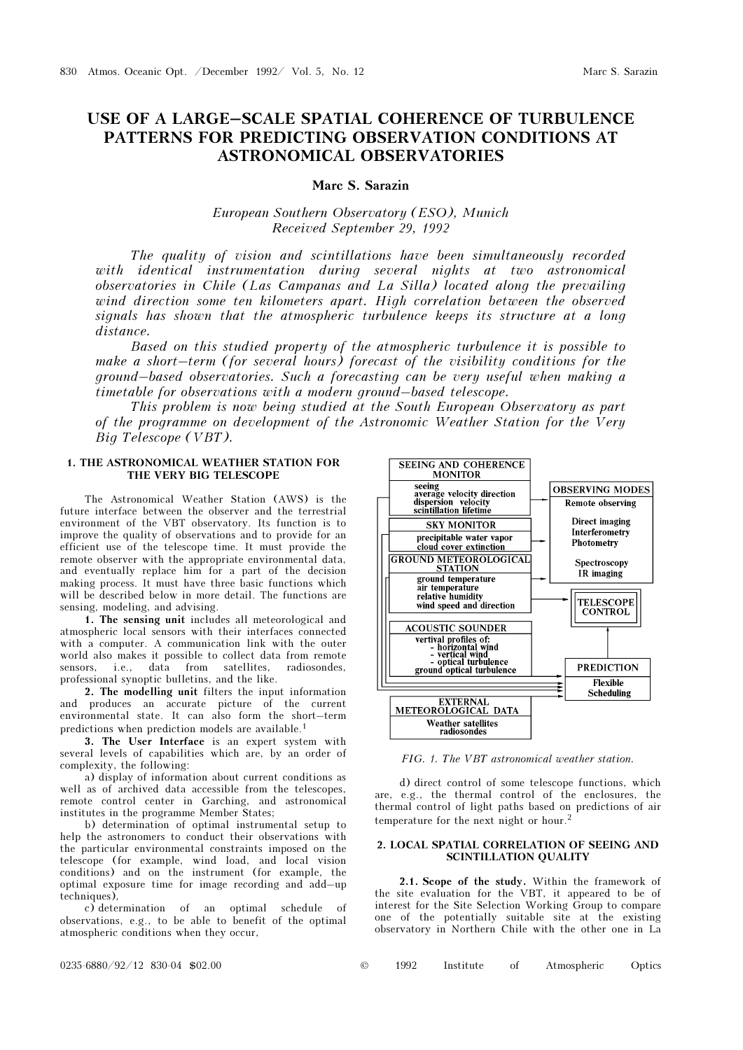# USE OF A LARGE–SCALE SPATIAL COHERENCE OF TURBULENCE PATTERNS FOR PREDICTING OBSERVATION CONDITIONS AT ASTRONOMICAL OBSERVATORIES

## Marc S. Sarazin

# European Southern Observatory (ESO), Munich Received September 29, 1992

The quality of vision and scintillations have been simultaneously recorded with identical instrumentation during several nights at two astronomical observatories in Chile (Las Campanas and La Silla) located along the prevailing wind direction some ten kilometers apart. High correlation between the observed signals has shown that the atmospheric turbulence keeps its structure at a long distance.

Based on this studied property of the atmospheric turbulence it is possible to make a short–term (for several hours) forecast of the visibility conditions for the ground–based observatories. Such a forecasting can be very useful when making a timetable for observations with a modern ground–based telescope.

This problem is now being studied at the South European Observatory as part of the programme on development of the Astronomic Weather Station for the Very Big Telescope (VBT).

### 1. THE ASTRONOMICAL WEATHER STATION FOR THE VERY BIG TELESCOPE

The Astronomical Weather Station (AWS) is the future interface between the observer and the terrestrial environment of the VBT observatory. Its function is to improve the quality of observations and to provide for an efficient use of the telescope time. It must provide the remote observer with the appropriate environmental data, and eventually replace him for a part of the decision making process. It must have three basic functions which will be described below in more detail. The functions are sensing, modeling, and advising.

1. The sensing unit includes all meteorological and atmospheric local sensors with their interfaces connected with a computer. A communication link with the outer world also makes it possible to collect data from remote sensors, i.e., data from satellites, radiosondes, professional synoptic bulletins, and the like.

2. The modelling unit filters the input information and produces an accurate picture of the current environmental state. It can also form the short–term predictions when prediction models are available.<sup>1</sup>

3. The User Interface is an expert system with several levels of capabilities which are, by an order of complexity, the following:

a) display of information about current conditions as well as of archived data accessible from the telescopes, remote control center in Garching, and astronomical institutes in the programme Member States;

b) determination of optimal instrumental setup to help the astronomers to conduct their observations with the particular environmental constraints imposed on the telescope (for example, wind load, and local vision conditions) and on the instrument (for example, the optimal exposure time for image recording and add–up techniques),

c) determination of an optimal schedule of observations, e.g., to be able to benefit of the optimal atmospheric conditions when they occur,



FIG. 1. The VBT astronomical weather station.

d) direct control of some telescope functions, which are, e.g., the thermal control of the enclosures, the thermal control of light paths based on predictions of air temperature for the next night or hour.<sup>2</sup>

#### 2. LOCAL SPATIAL CORRELATION OF SEEING AND SCINTILLATION QUALITY

2.1. Scope of the study. Within the framework of the site evaluation for the VBT, it appeared to be of interest for the Site Selection Working Group to compare one of the potentially suitable site at the existing observatory in Northern Chile with the other one in La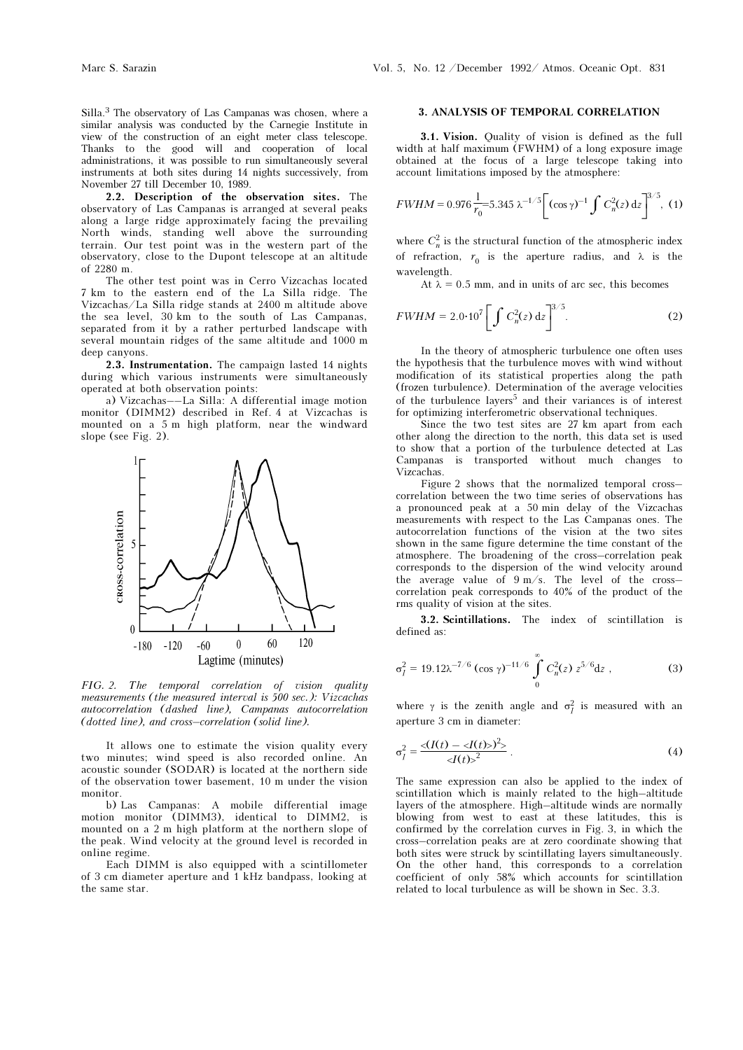Silla.3 The observatory of Las Campanas was chosen, where a similar analysis was conducted by the Carnegie Institute in view of the construction of an eight meter class telescope. Thanks to the good will and cooperation of local administrations, it was possible to run simultaneously several instruments at both sites during 14 nights successively, from November 27 till December 10, 1989.

2.2. Description of the observation sites. The observatory of Las Campanas is arranged at several peaks along a large ridge approximately facing the prevailing North winds, standing well above the surrounding terrain. Our test point was in the western part of the observatory, close to the Dupont telescope at an altitude of 2280 m.

The other test point was in Cerro Vizcachas located 7 km to the eastern end of the La Silla ridge. The Vizcachas/La Silla ridge stands at 2400 m altitude above the sea level, 30 km to the south of Las Campanas, separated from it by a rather perturbed landscape with several mountain ridges of the same altitude and 1000 m deep canyons.

2.3. Instrumentation. The campaign lasted 14 nights during which various instruments were simultaneously operated at both observation points:

a) Vizcachas––La Silla: A differential image motion monitor (DIMM2) described in Ref. 4 at Vizcachas is mounted on a 5 m high platform, near the windward slope (see Fig. 2).



FIG. 2. The temporal correlation of vision quality measurements (the measured interval is 500 sec.): Vizcachas autocorrelation (dashed line), Campanas autocorrelation (dotted line), and cross–correlation (solid line).

It allows one to estimate the vision quality every two minutes; wind speed is also recorded online. An acoustic sounder (SODAR) is located at the northern side of the observation tower basement, 10 m under the vision monitor.

b) Las Campanas: A mobile differential image motion monitor (DIMM3), identical to DIMM2, is mounted on a 2 m high platform at the northern slope of the peak. Wind velocity at the ground level is recorded in online regime.

Each DIMM is also equipped with a scintillometer of 3 cm diameter aperture and 1 kHz bandpass, looking at the same star.

#### 3. ANALYSIS OF TEMPORAL CORRELATION

3.1. Vision. Quality of vision is defined as the full width at half maximum (FWHM) of a long exposure image obtained at the focus of a large telescope taking into account limitations imposed by the atmosphere:

$$
FWHM = 0.976 \frac{1}{r_0} = 5.345 \lambda^{-1/5} \left[ (\cos \gamma)^{-1} \int C_n^2(z) dz \right]^{3/5}, (1)
$$

where  $C_n^2$  is the structural function of the atmospheric index of refraction,  $r_0$  is the aperture radius, and  $\lambda$  is the wavelength.

At  $\lambda = 0.5$  mm, and in units of arc sec, this becomes

$$
FWHM = 2.0 \cdot 10^7 \left[ \int C_n^2(z) \, dz \right]^{3/5}.
$$
 (2)

In the theory of atmospheric turbulence one often uses the hypothesis that the turbulence moves with wind without modification of its statistical properties along the path (frozen turbulence). Determination of the average velocities of the turbulence layers<sup>5</sup> and their variances is of interest for optimizing interferometric observational techniques.

Since the two test sites are 27 km apart from each other along the direction to the north, this data set is used to show that a portion of the turbulence detected at Las Campanas is transported without much changes to Vizcachas.

Figure 2 shows that the normalized temporal cross– correlation between the two time series of observations has a pronounced peak at a 50 min delay of the Vizcachas measurements with respect to the Las Campanas ones. The autocorrelation functions of the vision at the two sites shown in the same figure determine the time constant of the atmosphere. The broadening of the cross–correlation peak corresponds to the dispersion of the wind velocity around the average value of 9 m/s. The level of the cross– correlation peak corresponds to 40% of the product of the rms quality of vision at the sites.

3.2. Scintillations. The index of scintillation is defined as:

$$
\sigma_I^2 = 19.12 \lambda^{-7/6} (\cos \gamma)^{-11/6} \int_0^\infty C_n^2(z) z^{5/6} dz , \qquad (3)
$$

where  $\gamma$  is the zenith angle and  $\sigma_l^2$  is measured with an aperture 3 cm in diameter:

$$
\sigma_I^2 = \frac{\langle I(t) - \langle I(t) \rangle^2 \rangle}{\langle I(t) \rangle^2} \,. \tag{4}
$$

The same expression can also be applied to the index of scintillation which is mainly related to the high–altitude layers of the atmosphere. High–altitude winds are normally blowing from west to east at these latitudes, this is confirmed by the correlation curves in Fig. 3, in which the cross–correlation peaks are at zero coordinate showing that both sites were struck by scintillating layers simultaneously. On the other hand, this corresponds to a correlation coefficient of only 58% which accounts for scintillation related to local turbulence as will be shown in Sec. 3.3.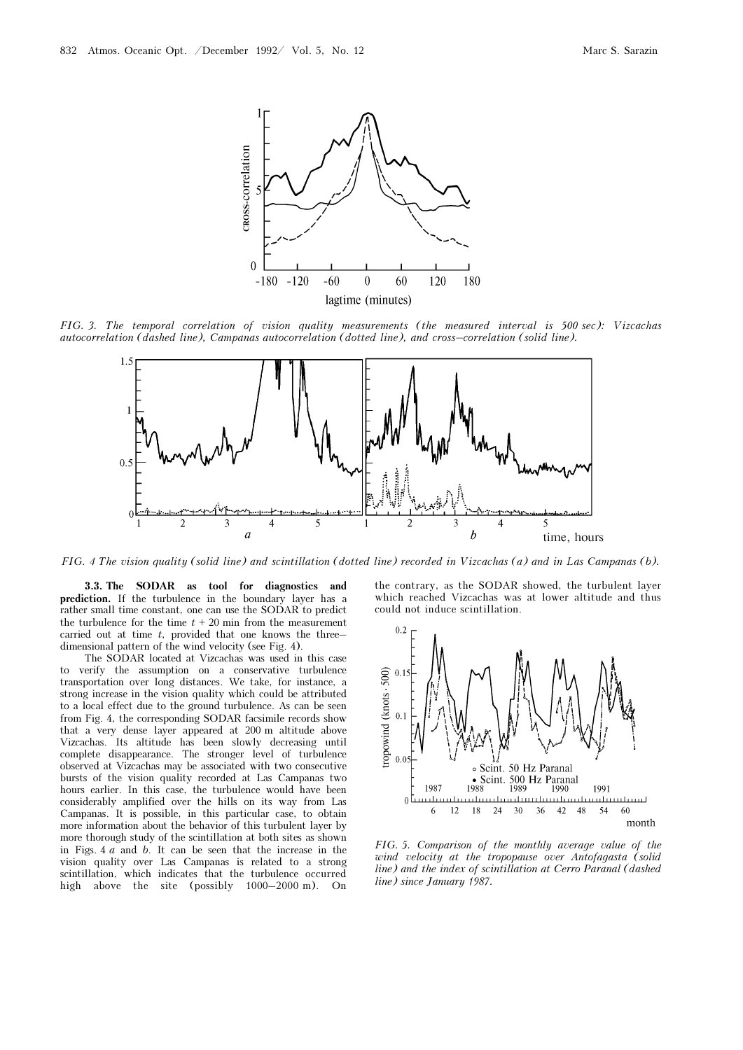

FIG. 3. The temporal correlation of vision quality measurements (the measured interval is 500 sec): Vizcachas autocorrelation (dashed line), Campanas autocorrelation (dotted line), and cross–correlation (solid line).



FIG. 4 The vision quality (solid line) and scintillation (dotted line) recorded in Vizcachas (a) and in Las Campanas (b).

3.3. The SODAR as tool for diagnostics and prediction. If the turbulence in the boundary layer has a rather small time constant, one can use the SODAR to predict the turbulence for the time  $t + 20$  min from the measurement carried out at time  $t$ , provided that one knows the threedimensional pattern of the wind velocity (see Fig. 4).

The SODAR located at Vizcachas was used in this case to verify the assumption on a conservative turbulence transportation over long distances. We take, for instance, a strong increase in the vision quality which could be attributed to a local effect due to the ground turbulence. As can be seen from Fig. 4, the corresponding SODAR facsimile records show that a very dense layer appeared at 200 m altitude above Vizcachas. Its altitude has been slowly decreasing until complete disappearance. The stronger level of turbulence observed at Vizcachas may be associated with two consecutive bursts of the vision quality recorded at Las Campanas two hours earlier. In this case, the turbulence would have been considerably amplified over the hills on its way from Las Campanas. It is possible, in this particular case, to obtain more information about the behavior of this turbulent layer by more thorough study of the scintillation at both sites as shown in Figs. 4 a and b. It can be seen that the increase in the vision quality over Las Campanas is related to a strong scintillation, which indicates that the turbulence occurred high above the site (possibly 1000–2000 m). On the contrary, as the SODAR showed, the turbulent layer which reached Vizcachas was at lower altitude and thus could not induce scintillation.



FIG. 5. Comparison of the monthly average value of the wind velocity at the tropopause over Antofagasta (solid line) and the index of scintillation at Cerro Paranal (dashed line) since January 1987.